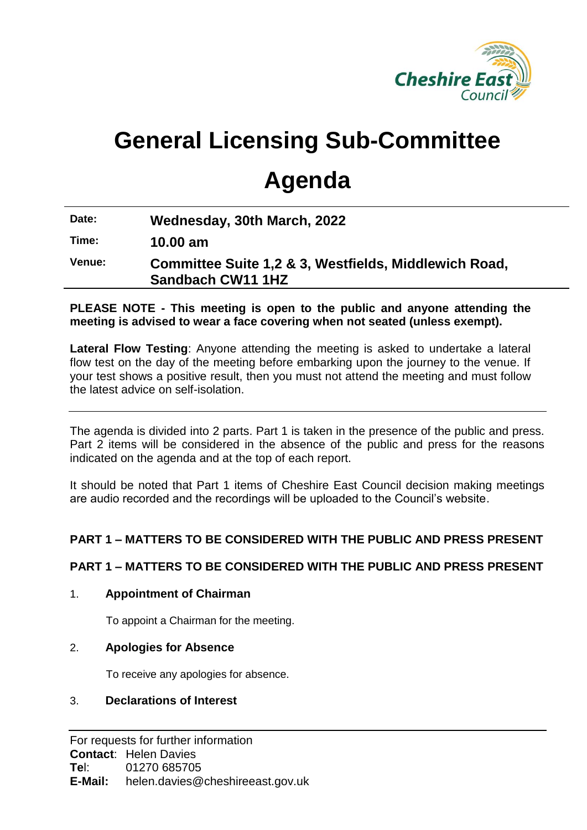

# **General Licensing Sub-Committee**

# **Agenda**

**Date: Wednesday, 30th March, 2022**

**Time: 10.00 am**

**Venue: Committee Suite 1,2 & 3, Westfields, Middlewich Road, Sandbach CW11 1HZ**

**PLEASE NOTE - This meeting is open to the public and anyone attending the meeting is advised to wear a face covering when not seated (unless exempt).** 

**Lateral Flow Testing**: Anyone attending the meeting is asked to undertake a lateral flow test on the day of the meeting before embarking upon the journey to the venue. If your test shows a positive result, then you must not attend the meeting and must follow the latest advice on self-isolation.

The agenda is divided into 2 parts. Part 1 is taken in the presence of the public and press. Part 2 items will be considered in the absence of the public and press for the reasons indicated on the agenda and at the top of each report.

It should be noted that Part 1 items of Cheshire East Council decision making meetings are audio recorded and the recordings will be uploaded to the Council's website.

## **PART 1 – MATTERS TO BE CONSIDERED WITH THE PUBLIC AND PRESS PRESENT**

## **PART 1 – MATTERS TO BE CONSIDERED WITH THE PUBLIC AND PRESS PRESENT**

#### 1. **Appointment of Chairman**

To appoint a Chairman for the meeting.

#### 2. **Apologies for Absence**

To receive any apologies for absence.

#### 3. **Declarations of Interest**